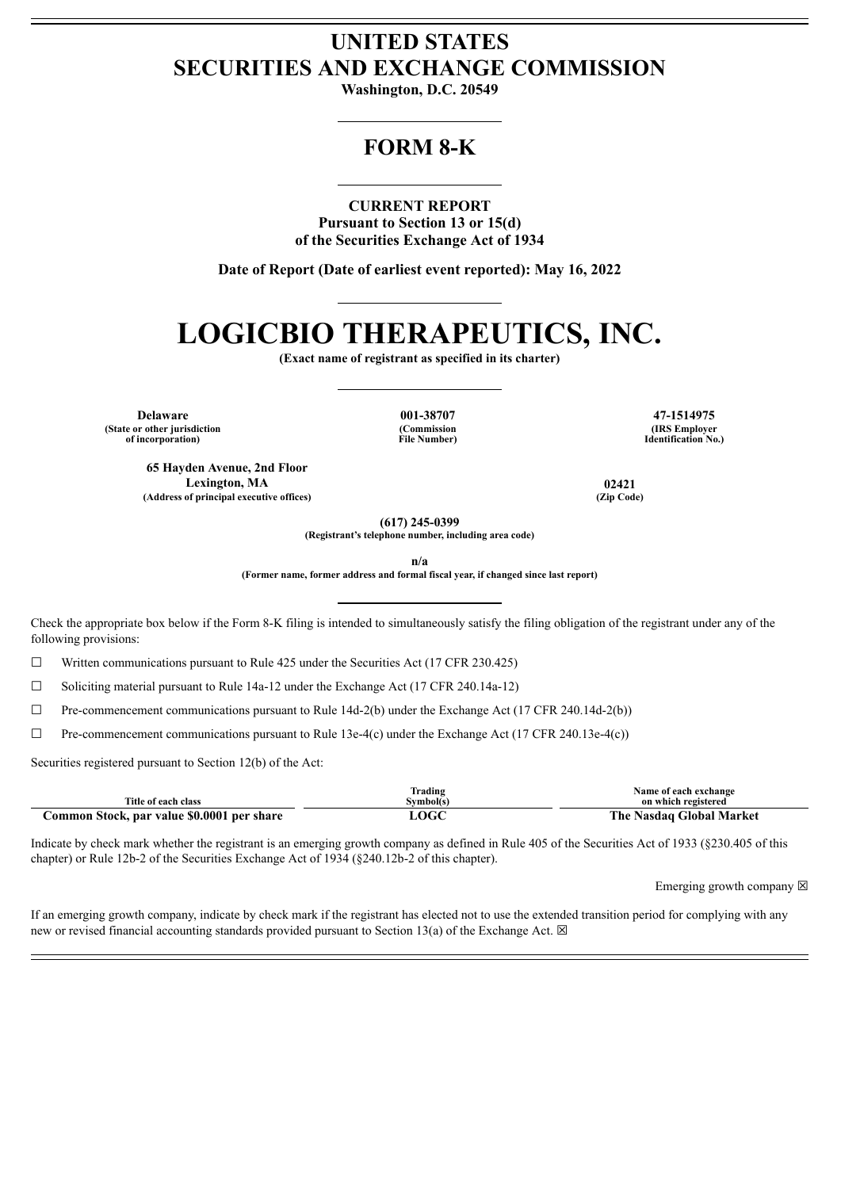# **UNITED STATES SECURITIES AND EXCHANGE COMMISSION**

**Washington, D.C. 20549**

# **FORM 8-K**

#### **CURRENT REPORT**

**Pursuant to Section 13 or 15(d) of the Securities Exchange Act of 1934**

**Date of Report (Date of earliest event reported): May 16, 2022**

# **LOGICBIO THERAPEUTICS, INC.**

**(Exact name of registrant as specified in its charter)**

**Delaware 001-38707 47-1514975 (State or other jurisdiction of incorporation)**

**(Commission File Number)**

**(IRS Employer Identification No.)**

**65 Hayden Avenue, 2nd Floor Lexington, MA 02421 (Address of principal executive offices) (Zip Code)**

**(617) 245-0399**

**(Registrant's telephone number, including area code)**

**n/a**

**(Former name, former address and formal fiscal year, if changed since last report)**

Check the appropriate box below if the Form 8-K filing is intended to simultaneously satisfy the filing obligation of the registrant under any of the following provisions:

☐ Written communications pursuant to Rule 425 under the Securities Act (17 CFR 230.425)

☐ Soliciting material pursuant to Rule 14a-12 under the Exchange Act (17 CFR 240.14a-12)

☐ Pre-commencement communications pursuant to Rule 14d-2(b) under the Exchange Act (17 CFR 240.14d-2(b))

 $\Box$  Pre-commencement communications pursuant to Rule 13e-4(c) under the Exchange Act (17 CFR 240.13e-4(c))

Securities registered pursuant to Section 12(b) of the Act:

| Title of each class                        | frading<br>Svmbol(s) | Name of each exchange<br>on which registered |
|--------------------------------------------|----------------------|----------------------------------------------|
| Common Stock, par value \$0.0001 per share | OGC                  | The Nasdaq Global Market                     |

Indicate by check mark whether the registrant is an emerging growth company as defined in Rule 405 of the Securities Act of 1933 (§230.405 of this chapter) or Rule 12b-2 of the Securities Exchange Act of 1934 (§240.12b-2 of this chapter).

Emerging growth company  $\boxtimes$ 

If an emerging growth company, indicate by check mark if the registrant has elected not to use the extended transition period for complying with any new or revised financial accounting standards provided pursuant to Section 13(a) of the Exchange Act.  $\boxtimes$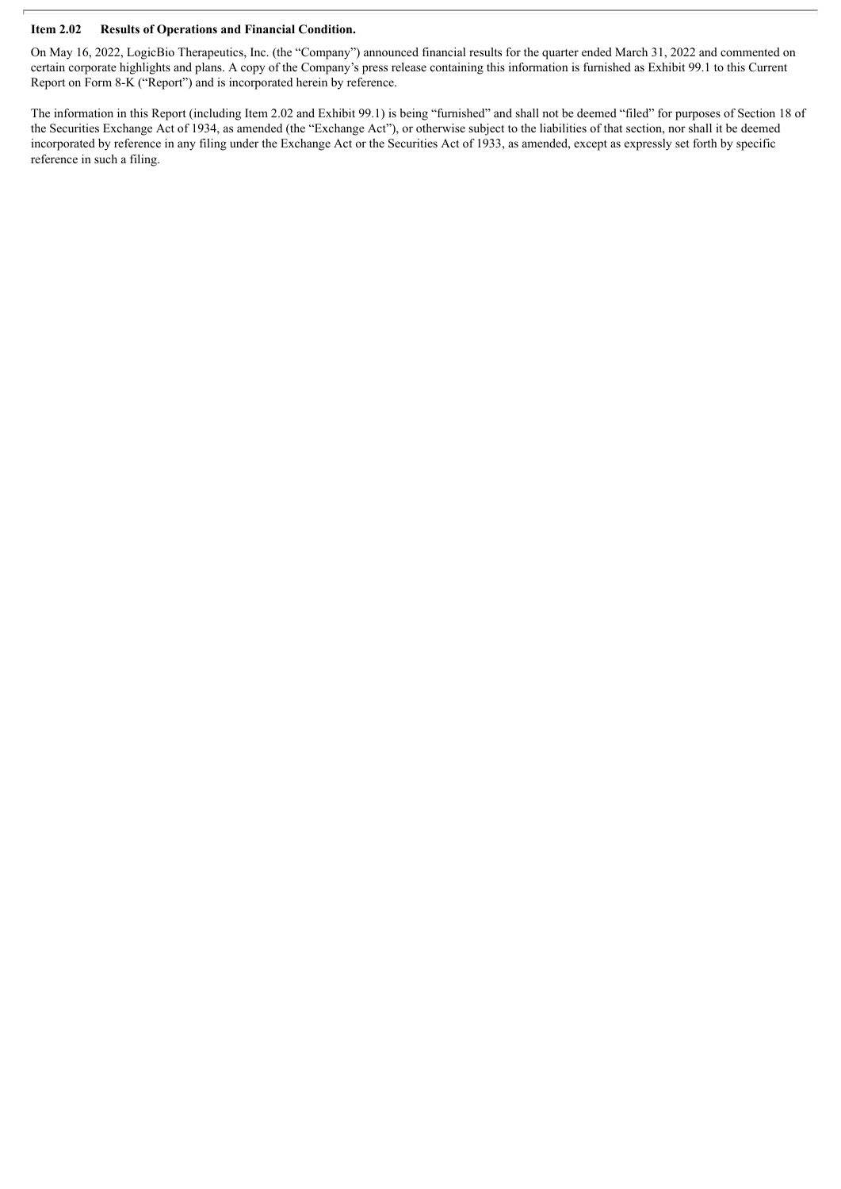#### **Item 2.02 Results of Operations and Financial Condition.**

On May 16, 2022, LogicBio Therapeutics, Inc. (the "Company") announced financial results for the quarter ended March 31, 2022 and commented on certain corporate highlights and plans. A copy of the Company's press release containing this information is furnished as Exhibit 99.1 to this Current Report on Form 8-K ("Report") and is incorporated herein by reference.

The information in this Report (including Item 2.02 and Exhibit 99.1) is being "furnished" and shall not be deemed "filed" for purposes of Section 18 of the Securities Exchange Act of 1934, as amended (the "Exchange Act"), or otherwise subject to the liabilities of that section, nor shall it be deemed incorporated by reference in any filing under the Exchange Act or the Securities Act of 1933, as amended, except as expressly set forth by specific reference in such a filing.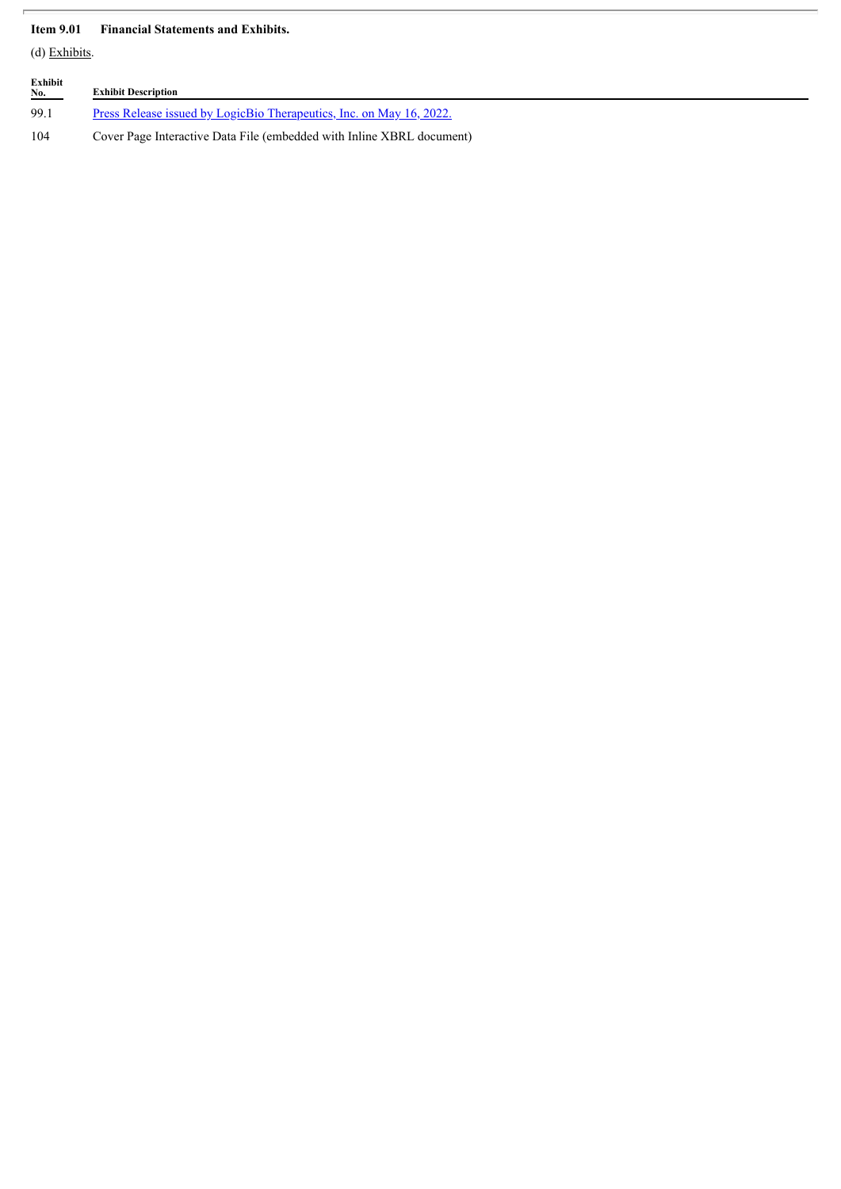### **Item 9.01 Financial Statements and Exhibits.**

(d) Exhibits.

| Exhibit<br>No. | <b>Exhibit Description</b>                                                  |
|----------------|-----------------------------------------------------------------------------|
| 99.1           | <u>Press Release issued by LogicBio Therapeutics, Inc. on May 16, 2022.</u> |
| 104            | Cover Page Interactive Data File (embedded with Inline XBRL document)       |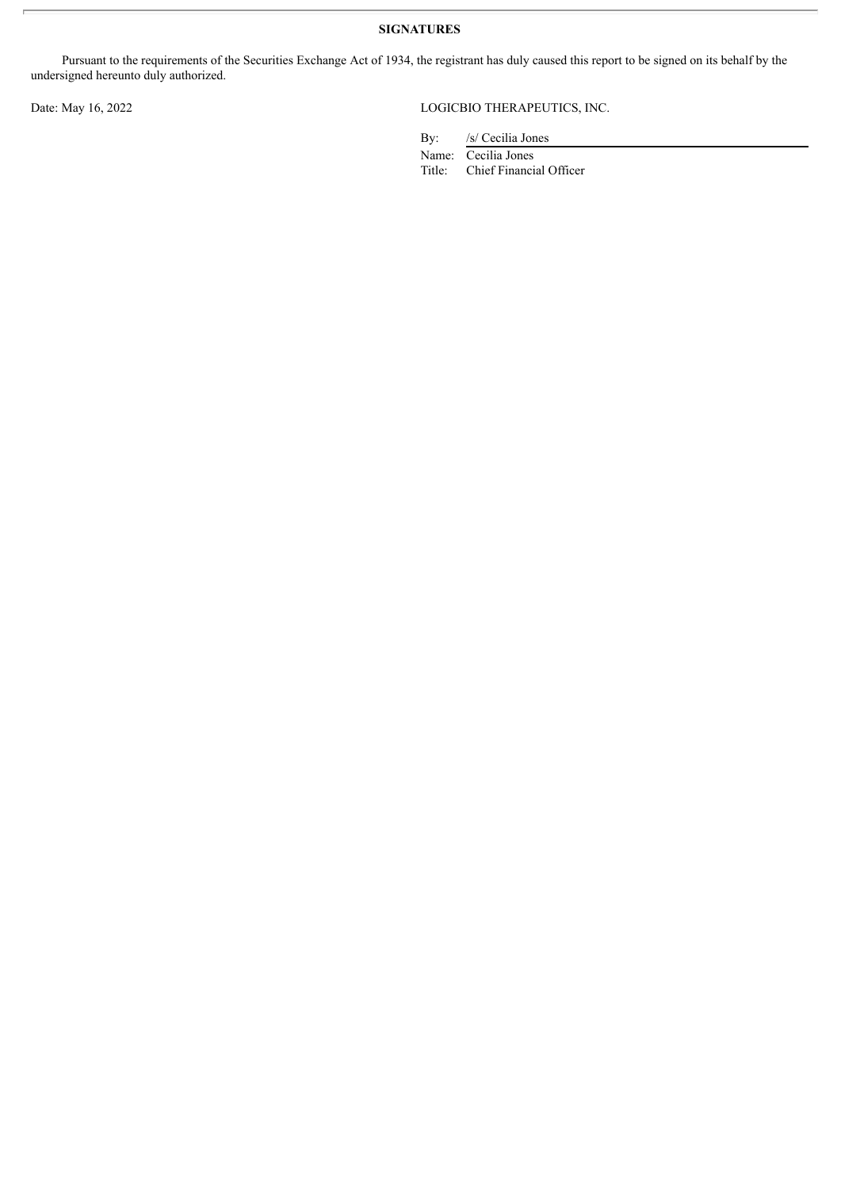**SIGNATURES**

Pursuant to the requirements of the Securities Exchange Act of 1934, the registrant has duly caused this report to be signed on its behalf by the undersigned hereunto duly authorized.

## Date: May 16, 2022 LOGICBIO THERAPEUTICS, INC.

By: /s/ Cecilia Jones

Name: Cecilia Jones<br>Title: Chief Financi Chief Financial Officer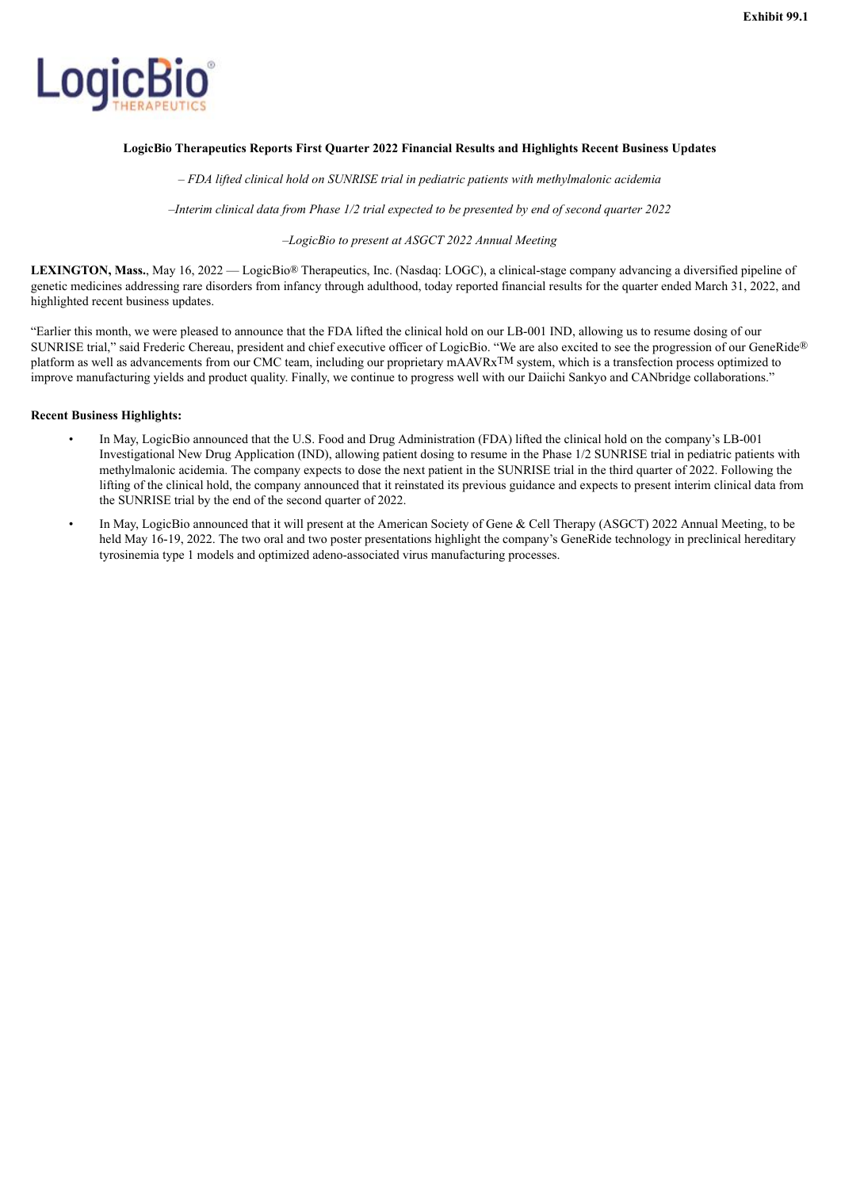<span id="page-4-0"></span>

#### **LogicBio Therapeutics Reports First Quarter 2022 Financial Results and Highlights Recent Business Updates**

*– FDA lifted clinical hold on SUNRISE trial in pediatric patients with methylmalonic acidemia*

*–Interim clinical data from Phase 1/2 trial expected to be presented by end of second quarter 2022*

#### *–LogicBio to present at ASGCT 2022 Annual Meeting*

**LEXINGTON, Mass.**, May 16, 2022 — LogicBio® Therapeutics, Inc. (Nasdaq: LOGC), a clinical-stage company advancing a diversified pipeline of genetic medicines addressing rare disorders from infancy through adulthood, today reported financial results for the quarter ended March 31, 2022, and highlighted recent business updates.

"Earlier this month, we were pleased to announce that the FDA lifted the clinical hold on our LB-001 IND, allowing us to resume dosing of our SUNRISE trial," said Frederic Chereau, president and chief executive officer of LogicBio. "We are also excited to see the progression of our GeneRide® platform as well as advancements from our CMC team, including our proprietary mAAVRxTM system, which is a transfection process optimized to improve manufacturing yields and product quality. Finally, we continue to progress well with our Daiichi Sankyo and CANbridge collaborations."

#### **Recent Business Highlights:**

- In May, LogicBio announced that the U.S. Food and Drug Administration (FDA) lifted the clinical hold on the company's LB-001 Investigational New Drug Application (IND), allowing patient dosing to resume in the Phase 1/2 SUNRISE trial in pediatric patients with methylmalonic acidemia. The company expects to dose the next patient in the SUNRISE trial in the third quarter of 2022. Following the lifting of the clinical hold, the company announced that it reinstated its previous guidance and expects to present interim clinical data from the SUNRISE trial by the end of the second quarter of 2022.
- In May, LogicBio announced that it will present at the American Society of Gene & Cell Therapy (ASGCT) 2022 Annual Meeting, to be held May 16-19, 2022. The two oral and two poster presentations highlight the company's GeneRide technology in preclinical hereditary tyrosinemia type 1 models and optimized adeno-associated virus manufacturing processes.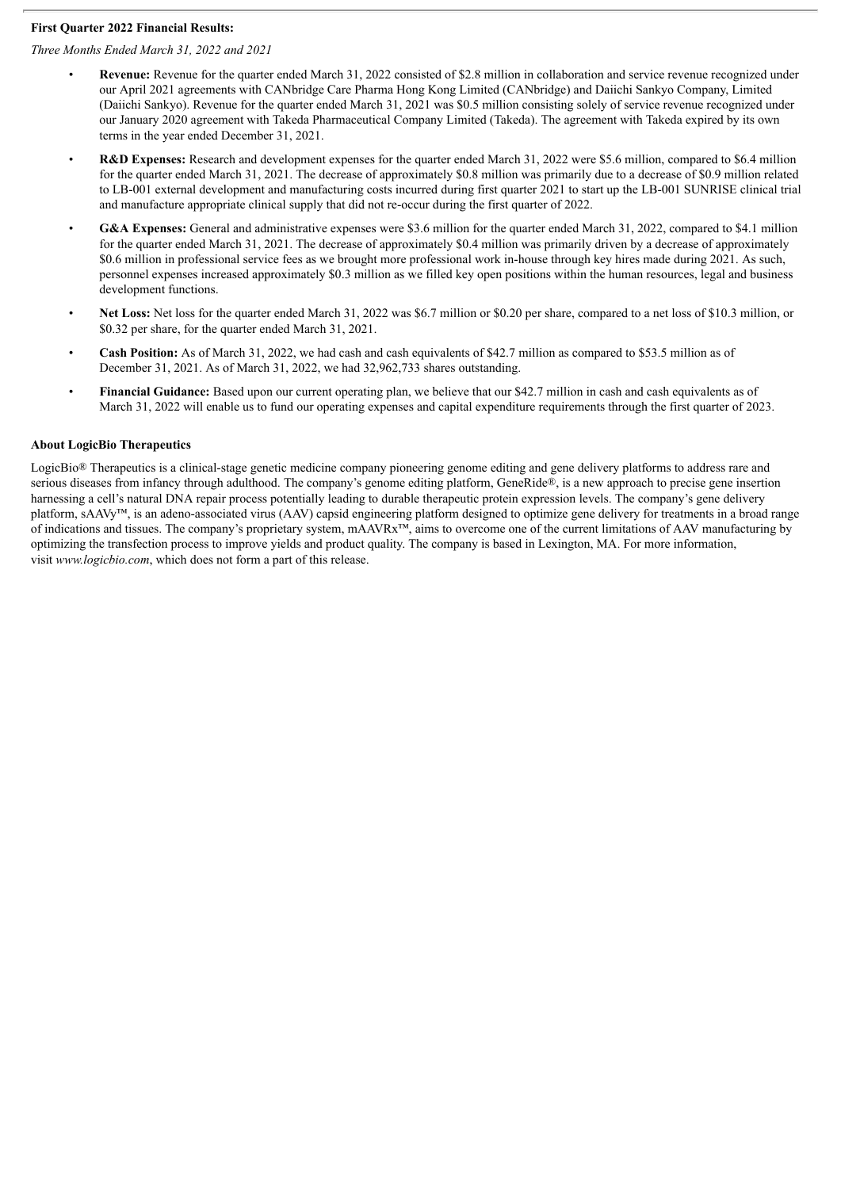#### **First Quarter 2022 Financial Results:**

#### *Three Months Ended March 31, 2022 and 2021*

- **Revenue:** Revenue for the quarter ended March 31, 2022 consisted of \$2.8 million in collaboration and service revenue recognized under our April 2021 agreements with CANbridge Care Pharma Hong Kong Limited (CANbridge) and Daiichi Sankyo Company, Limited (Daiichi Sankyo). Revenue for the quarter ended March 31, 2021 was \$0.5 million consisting solely of service revenue recognized under our January 2020 agreement with Takeda Pharmaceutical Company Limited (Takeda). The agreement with Takeda expired by its own terms in the year ended December 31, 2021.
- **R&D Expenses:** Research and development expenses for the quarter ended March 31, 2022 were \$5.6 million, compared to \$6.4 million for the quarter ended March 31, 2021. The decrease of approximately \$0.8 million was primarily due to a decrease of \$0.9 million related to LB-001 external development and manufacturing costs incurred during first quarter 2021 to start up the LB-001 SUNRISE clinical trial and manufacture appropriate clinical supply that did not re-occur during the first quarter of 2022.
- **G&A Expenses:** General and administrative expenses were \$3.6 million for the quarter ended March 31, 2022, compared to \$4.1 million for the quarter ended March 31, 2021. The decrease of approximately \$0.4 million was primarily driven by a decrease of approximately \$0.6 million in professional service fees as we brought more professional work in-house through key hires made during 2021. As such, personnel expenses increased approximately \$0.3 million as we filled key open positions within the human resources, legal and business development functions.
- **Net Loss:** Net loss for the quarter ended March 31, 2022 was \$6.7 million or \$0.20 per share, compared to a net loss of \$10.3 million, or \$0.32 per share, for the quarter ended March 31, 2021.
- **Cash Position:** As of March 31, 2022, we had cash and cash equivalents of \$42.7 million as compared to \$53.5 million as of December 31, 2021. As of March 31, 2022, we had 32,962,733 shares outstanding.
- **Financial Guidance:** Based upon our current operating plan, we believe that our \$42.7 million in cash and cash equivalents as of March 31, 2022 will enable us to fund our operating expenses and capital expenditure requirements through the first quarter of 2023.

#### **About LogicBio Therapeutics**

LogicBio® Therapeutics is a clinical-stage genetic medicine company pioneering genome editing and gene delivery platforms to address rare and serious diseases from infancy through adulthood. The company's genome editing platform, GeneRide®, is a new approach to precise gene insertion harnessing a cell's natural DNA repair process potentially leading to durable therapeutic protein expression levels. The company's gene delivery platform, sAAVy™, is an adeno-associated virus (AAV) capsid engineering platform designed to optimize gene delivery for treatments in a broad range of indications and tissues. The company's proprietary system, mAAVRx™, aims to overcome one of the current limitations of AAV manufacturing by optimizing the transfection process to improve yields and product quality. The company is based in Lexington, MA. For more information, visit *www.logicbio.com*, which does not form a part of this release.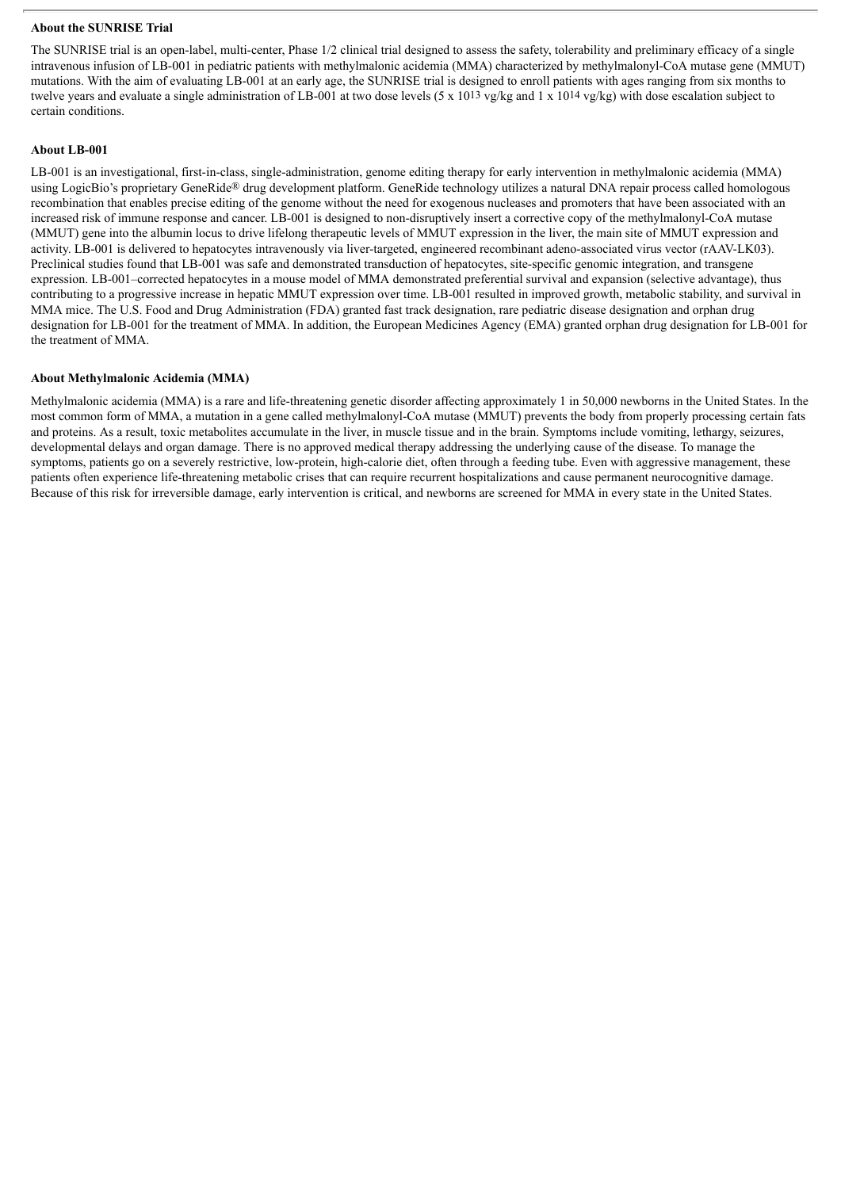#### **About the SUNRISE Trial**

The SUNRISE trial is an open-label, multi-center, Phase 1/2 clinical trial designed to assess the safety, tolerability and preliminary efficacy of a single intravenous infusion of LB-001 in pediatric patients with methylmalonic acidemia (MMA) characterized by methylmalonyl-CoA mutase gene (MMUT) mutations. With the aim of evaluating LB-001 at an early age, the SUNRISE trial is designed to enroll patients with ages ranging from six months to twelve years and evaluate a single administration of LB-001 at two dose levels  $(5 \times 10^{13} \text{ yg/kg}$  and  $1 \times 10^{14} \text{ yg/kg})$  with dose escalation subject to certain conditions.

#### **About LB-001**

LB-001 is an investigational, first-in-class, single-administration, genome editing therapy for early intervention in methylmalonic acidemia (MMA) using LogicBio's proprietary GeneRide® drug development platform. GeneRide technology utilizes a natural DNA repair process called homologous recombination that enables precise editing of the genome without the need for exogenous nucleases and promoters that have been associated with an increased risk of immune response and cancer. LB-001 is designed to non-disruptively insert a corrective copy of the methylmalonyl-CoA mutase (MMUT) gene into the albumin locus to drive lifelong therapeutic levels of MMUT expression in the liver, the main site of MMUT expression and activity. LB-001 is delivered to hepatocytes intravenously via liver-targeted, engineered recombinant adeno-associated virus vector (rAAV-LK03). Preclinical studies found that LB-001 was safe and demonstrated transduction of hepatocytes, site-specific genomic integration, and transgene expression. LB-001–corrected hepatocytes in a mouse model of MMA demonstrated preferential survival and expansion (selective advantage), thus contributing to a progressive increase in hepatic MMUT expression over time. LB-001 resulted in improved growth, metabolic stability, and survival in MMA mice. The U.S. Food and Drug Administration (FDA) granted fast track designation, rare pediatric disease designation and orphan drug designation for LB-001 for the treatment of MMA. In addition, the European Medicines Agency (EMA) granted orphan drug designation for LB-001 for the treatment of MMA.

#### **About Methylmalonic Acidemia (MMA)**

Methylmalonic acidemia (MMA) is a rare and life-threatening genetic disorder affecting approximately 1 in 50,000 newborns in the United States. In the most common form of MMA, a mutation in a gene called methylmalonyl-CoA mutase (MMUT) prevents the body from properly processing certain fats and proteins. As a result, toxic metabolites accumulate in the liver, in muscle tissue and in the brain. Symptoms include vomiting, lethargy, seizures, developmental delays and organ damage. There is no approved medical therapy addressing the underlying cause of the disease. To manage the symptoms, patients go on a severely restrictive, low-protein, high-calorie diet, often through a feeding tube. Even with aggressive management, these patients often experience life-threatening metabolic crises that can require recurrent hospitalizations and cause permanent neurocognitive damage. Because of this risk for irreversible damage, early intervention is critical, and newborns are screened for MMA in every state in the United States.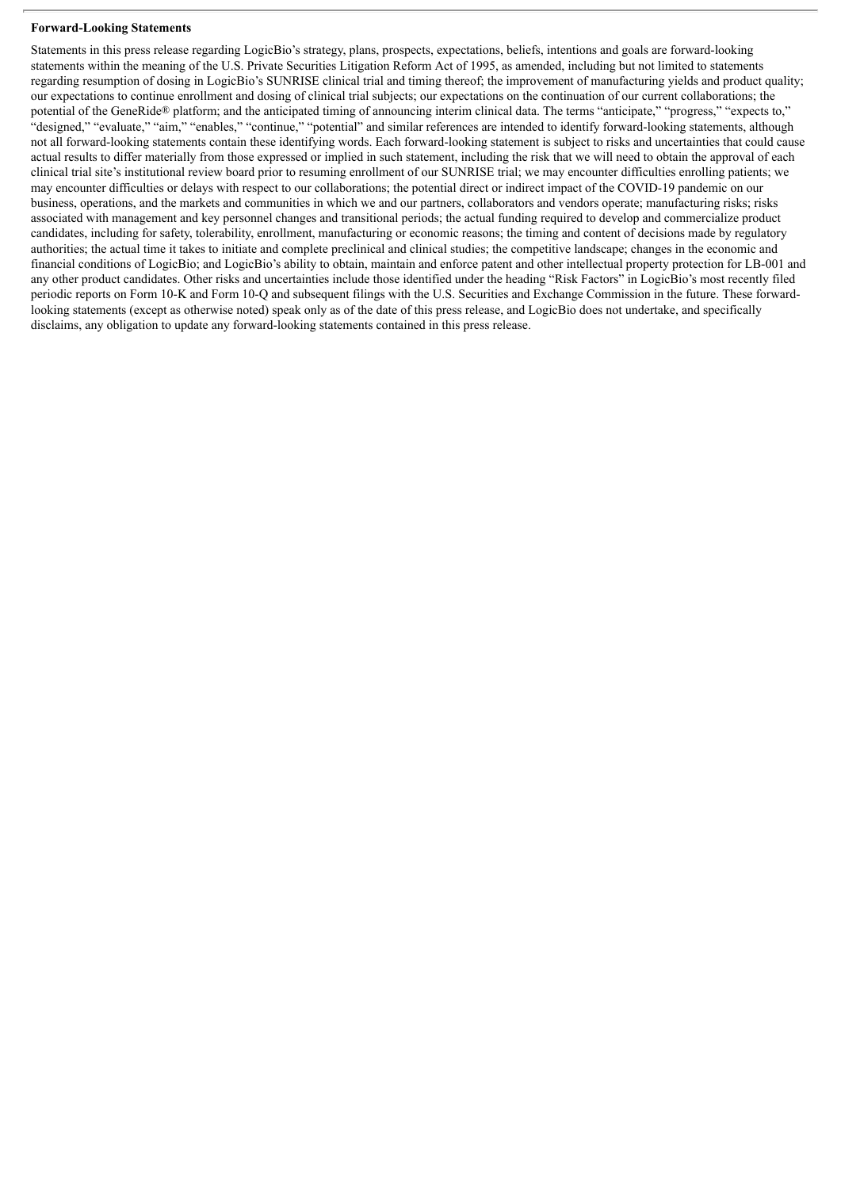#### **Forward-Looking Statements**

Statements in this press release regarding LogicBio's strategy, plans, prospects, expectations, beliefs, intentions and goals are forward-looking statements within the meaning of the U.S. Private Securities Litigation Reform Act of 1995, as amended, including but not limited to statements regarding resumption of dosing in LogicBio's SUNRISE clinical trial and timing thereof; the improvement of manufacturing yields and product quality; our expectations to continue enrollment and dosing of clinical trial subjects; our expectations on the continuation of our current collaborations; the potential of the GeneRide® platform; and the anticipated timing of announcing interim clinical data. The terms "anticipate," "progress," "expects to,' "designed," "evaluate," "aim," "enables," "continue," "potential" and similar references are intended to identify forward-looking statements, although not all forward-looking statements contain these identifying words. Each forward-looking statement is subject to risks and uncertainties that could cause actual results to differ materially from those expressed or implied in such statement, including the risk that we will need to obtain the approval of each clinical trial site's institutional review board prior to resuming enrollment of our SUNRISE trial; we may encounter difficulties enrolling patients; we may encounter difficulties or delays with respect to our collaborations; the potential direct or indirect impact of the COVID-19 pandemic on our business, operations, and the markets and communities in which we and our partners, collaborators and vendors operate; manufacturing risks; risks associated with management and key personnel changes and transitional periods; the actual funding required to develop and commercialize product candidates, including for safety, tolerability, enrollment, manufacturing or economic reasons; the timing and content of decisions made by regulatory authorities; the actual time it takes to initiate and complete preclinical and clinical studies; the competitive landscape; changes in the economic and financial conditions of LogicBio; and LogicBio's ability to obtain, maintain and enforce patent and other intellectual property protection for LB-001 and any other product candidates. Other risks and uncertainties include those identified under the heading "Risk Factors" in LogicBio's most recently filed periodic reports on Form 10-K and Form 10-Q and subsequent filings with the U.S. Securities and Exchange Commission in the future. These forwardlooking statements (except as otherwise noted) speak only as of the date of this press release, and LogicBio does not undertake, and specifically disclaims, any obligation to update any forward-looking statements contained in this press release.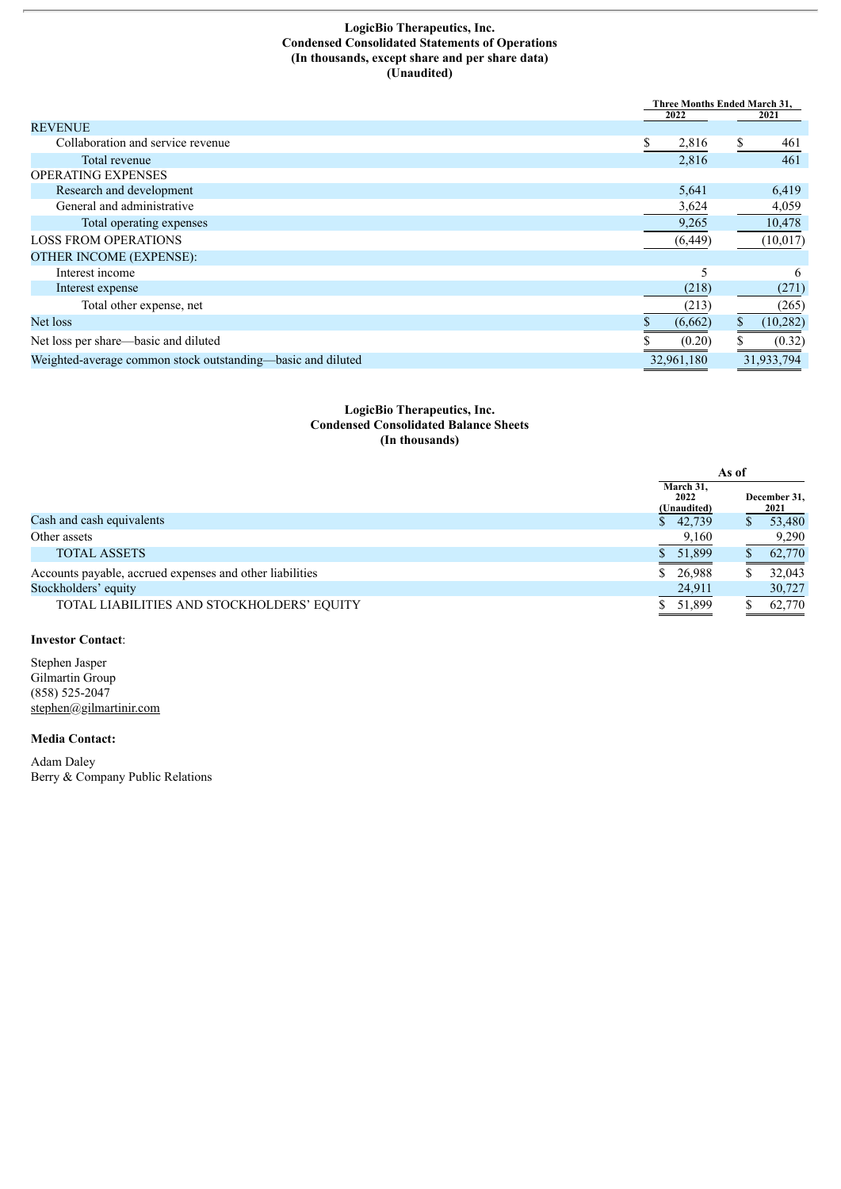#### **LogicBio Therapeutics, Inc. Condensed Consolidated Statements of Operations (In thousands, except share and per share data) (Unaudited)**

|                                                             |             | Three Months Ended March 31, |  |
|-------------------------------------------------------------|-------------|------------------------------|--|
|                                                             | 2022        | 2021                         |  |
| <b>REVENUE</b>                                              |             |                              |  |
| Collaboration and service revenue                           | S.<br>2,816 | \$<br>461                    |  |
| Total revenue                                               | 2,816       | 461                          |  |
| <b>OPERATING EXPENSES</b>                                   |             |                              |  |
| Research and development                                    | 5,641       | 6,419                        |  |
| General and administrative                                  | 3,624       | 4,059                        |  |
| Total operating expenses                                    | 9,265       | 10,478                       |  |
| <b>LOSS FROM OPERATIONS</b>                                 | (6, 449)    | (10, 017)                    |  |
| <b>OTHER INCOME (EXPENSE):</b>                              |             |                              |  |
| Interest income                                             | 5           | 6                            |  |
| Interest expense                                            | (218)       | (271)                        |  |
| Total other expense, net                                    | (213)       | (265)                        |  |
| Net loss                                                    | (6,662)     | \$<br>(10, 282)              |  |
| Net loss per share—basic and diluted                        | (0.20)      | (0.32)                       |  |
| Weighted-average common stock outstanding-basic and diluted | 32,961,180  | 31,933,794                   |  |

#### **LogicBio Therapeutics, Inc. Condensed Consolidated Balance Sheets (In thousands)**

|                                                          | As of                            |                      |
|----------------------------------------------------------|----------------------------------|----------------------|
|                                                          | March 31,<br>2022<br>(Unaudited) | December 31,<br>2021 |
| Cash and cash equivalents                                | \$42,739                         | 53,480               |
| Other assets                                             | 9,160                            | 9,290                |
| <b>TOTAL ASSETS</b>                                      | \$51,899                         | 62,770               |
| Accounts payable, accrued expenses and other liabilities | \$26,988                         | 32,043               |
| Stockholders' equity                                     | 24,911                           | 30,727               |
| TOTAL LIABILITIES AND STOCKHOLDERS' EQUITY               | \$51,899                         | 62,770               |

## **Investor Contact**:

Stephen Jasper Gilmartin Group (858) 525-2047 stephen@gilmartinir.com

#### **Media Contact:**

Adam Daley Berry & Company Public Relations